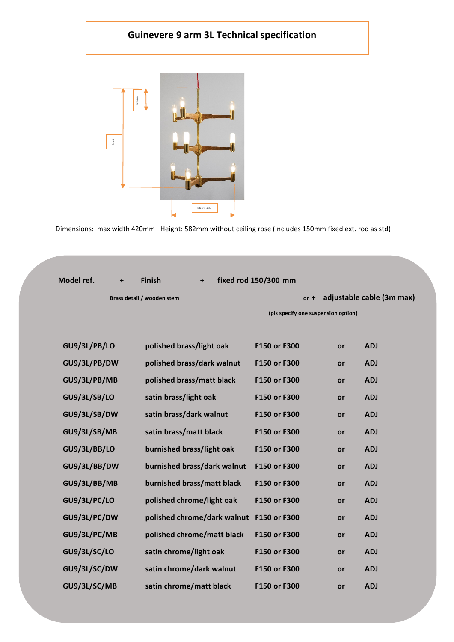## **Guinevere 9 arm 3L Technical specification**



| Model ref.          | $\ddot{}$ | <b>Finish</b>               | $\ddot{}$ | fixed rod 150/300 mm |                                     |    |                           |
|---------------------|-----------|-----------------------------|-----------|----------------------|-------------------------------------|----|---------------------------|
|                     |           | Brass detail / wooden stem  |           |                      | $or +$                              |    | adjustable cable (3m max) |
|                     |           |                             |           |                      | (pls specify one suspension option) |    |                           |
|                     |           |                             |           |                      |                                     |    |                           |
| GU9/3L/PB/LO        |           | polished brass/light oak    |           | F150 or F300         |                                     | or | <b>ADJ</b>                |
| GU9/3L/PB/DW        |           | polished brass/dark walnut  |           | F150 or F300         |                                     | or | <b>ADJ</b>                |
| GU9/3L/PB/MB        |           | polished brass/matt black   |           | F150 or F300         |                                     | or | <b>ADJ</b>                |
| <b>GU9/3L/SB/LO</b> |           | satin brass/light oak       |           | F150 or F300         |                                     | or | <b>ADJ</b>                |
| GU9/3L/SB/DW        |           | satin brass/dark walnut     |           | F150 or F300         |                                     | or | <b>ADJ</b>                |
| GU9/3L/SB/MB        |           | satin brass/matt black      |           | F150 or F300         |                                     | or | <b>ADJ</b>                |
| GU9/3L/BB/LO        |           | burnished brass/light oak   |           | F150 or F300         |                                     | or | <b>ADJ</b>                |
| GU9/3L/BB/DW        |           | burnished brass/dark walnut |           | F150 or F300         |                                     | or | <b>ADJ</b>                |
| GU9/3L/BB/MB        |           | burnished brass/matt black  |           | F150 or F300         |                                     | or | <b>ADJ</b>                |
| GU9/3L/PC/LO        |           | polished chrome/light oak   |           | F150 or F300         |                                     | or | <b>ADJ</b>                |
| GU9/3L/PC/DW        |           | polished chrome/dark walnut |           | F150 or F300         |                                     | or | <b>ADJ</b>                |
| GU9/3L/PC/MB        |           | polished chrome/matt black  |           | F150 or F300         |                                     | or | <b>ADJ</b>                |
| GU9/3L/SC/LO        |           | satin chrome/light oak      |           | F150 or F300         |                                     | or | <b>ADJ</b>                |
| GU9/3L/SC/DW        |           | satin chrome/dark walnut    |           | F150 or F300         |                                     | or | <b>ADJ</b>                |
| GU9/3L/SC/MB        |           | satin chrome/matt black     |           | F150 or F300         |                                     | or | <b>ADJ</b>                |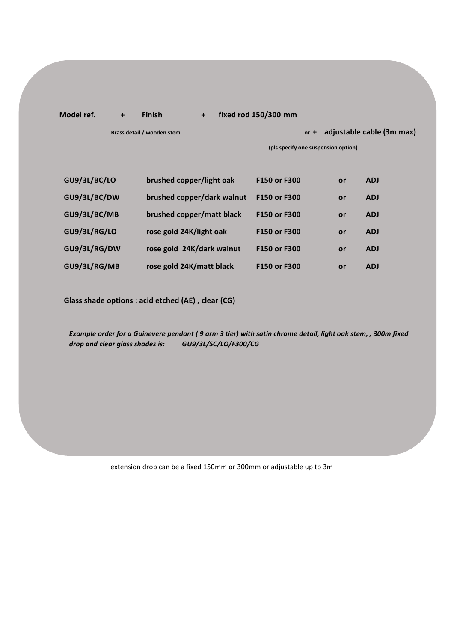## **Model ref. + Finish + fixed rod 150/300 mm**

**Brass detail / wooden stem and proportional control of the adjustable cable (3m max)** 

**(pls specify one suspension option)**

| GU9/3L/BC/LO | brushed copper/light oak   | F150 or F300 | or | <b>ADJ</b> |
|--------------|----------------------------|--------------|----|------------|
| GU9/3L/BC/DW | brushed copper/dark walnut | F150 or F300 | or | <b>ADJ</b> |
| GU9/3L/BC/MB | brushed copper/matt black  | F150 or F300 | or | <b>ADJ</b> |
| GU9/3L/RG/LO | rose gold 24K/light oak    | F150 or F300 | or | <b>ADJ</b> |
| GU9/3L/RG/DW | rose gold 24K/dark walnut  | F150 or F300 | or | <b>ADJ</b> |
| GU9/3L/RG/MB | rose gold 24K/matt black   | F150 or F300 | or | <b>ADJ</b> |

**Glass shade options : acid etched (AE) , clear (CG)**

*Example order for a Guinevere pendant ( 9 arm 3 tier) with satin chrome detail, light oak stem, , 300m fixed drop and clear glass shades is: GU9/3L/SC/LO/F300/CG*

extension drop can be a fixed 150mm or 300mm or adjustable up to 3m